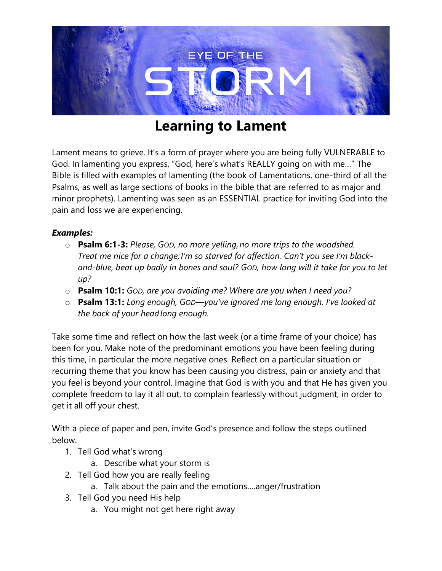

## **Learning to Lament**

Lament means to grieve. It's a form of prayer where you are being fully VULNERABLE to God. In lamenting you express, "God, here's what's REALLY going on with me…" The Bible is filled with examples of lamenting (the book of Lamentations, one-third of all the Psalms, as well as large sections of books in the bible that are referred to as major and minor prophets). Lamenting was seen as an ESSENTIAL practice for inviting God into the pain and loss we are experiencing.

## *Examples:*

- o **Psalm 6:1-3:** *Please, GOD, no more yelling,no more trips to the woodshed. Treat me nice for a change;I'm so starved for affection. Can't you see I'm blackand-blue, beat up badly in bones and soul? GOD, how long will it take for you to let up?*
- o **Psalm 10:1:** *GOD, are you avoiding me? Where are you when I need you?*
- o **Psalm 13:1:** *Long enough, GOD—you've ignored me long enough. I've looked at the back of your headlong enough.*

Take some time and reflect on how the last week (or a time frame of your choice) has been for you. Make note of the predominant emotions you have been feeling during this time, in particular the more negative ones. Reflect on a particular situation or recurring theme that you know has been causing you distress, pain or anxiety and that you feel is beyond your control. Imagine that God is with you and that He has given you complete freedom to lay it all out, to complain fearlessly without judgment, in order to get it all off your chest.

With a piece of paper and pen, invite God's presence and follow the steps outlined below.

- 1. Tell God what's wrong
	- a. Describe what your storm is
- 2. Tell God how you are really feeling
	- a. Talk about the pain and the emotions….anger/frustration
- 3. Tell God you need His help
	- a. You might not get here right away